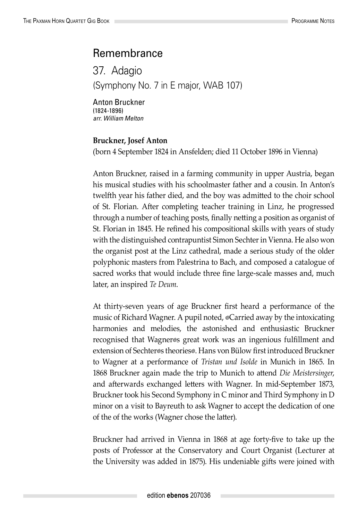## Remembrance

37. Adagio (Symphony No. 7 in E major, WAB 107)

Anton Bruckner (1824-1896) *arr. William Melton*

## **Bruckner, Josef Anton**

(born 4 September 1824 in Ansfelden; died 11 October 1896 in Vienna)

Anton Bruckner, raised in a farming community in upper Austria, began his musical studies with his schoolmaster father and a cousin. In Anton's twelfth year his father died, and the boy was admitted to the choir school of St. Florian. After completing teacher training in Linz, he progressed through a number of teaching posts, finally netting a position as organist of St. Florian in 1845. He refined his compositional skills with years of study with the distinguished contrapuntist Simon Sechter in Vienna. He also won the organist post at the Linz cathedral, made a serious study of the older polyphonic masters from Palestrina to Bach, and composed a catalogue of sacred works that would include three fine large-scale masses and, much later, an inspired *Te Deum*.

At thirty-seven years of age Bruckner first heard a performance of the music of Richard Wagner. A pupil noted,  $\circ$ Carried away by the intoxicating harmonies and melodies, the astonished and enthusiastic Bruckner recognised that Wagner®s great work was an ingenious fulfillment and extension of Sechter®s theories®. Hans von Bülow first introduced Bruckner to Wagner at a performance of *Tristan und Isolde* in Munich in 1865. In 1868 Bruckner again made the trip to Munich to attend *Die Meistersinger*, and afterwards exchanged letters with Wagner. In mid-September 1873, Bruckner took his Second Symphony in C minor and Third Symphony in D minor on a visit to Bayreuth to ask Wagner to accept the dedication of one of the of the works (Wagner chose the latter).

Bruckner had arrived in Vienna in 1868 at age forty-five to take up the posts of Professor at the Conservatory and Court Organist (Lecturer at the University was added in 1875). His undeniable gifts were joined with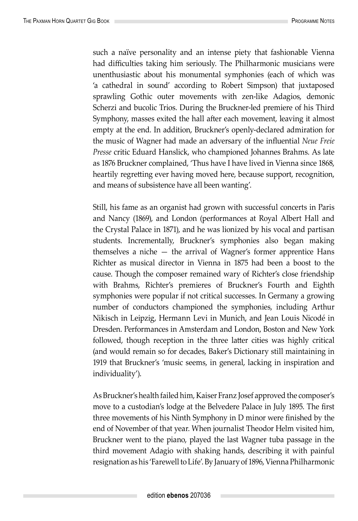such a naïve personality and an intense piety that fashionable Vienna had difficulties taking him seriously. The Philharmonic musicians were unenthusiastic about his monumental symphonies (each of which was 'a cathedral in sound' according to Robert Simpson) that juxtaposed sprawling Gothic outer movements with zen-like Adagios, demonic Scherzi and bucolic Trios. During the Bruckner-led premiere of his Third Symphony, masses exited the hall after each movement, leaving it almost empty at the end. In addition, Bruckner's openly-declared admiration for the music of Wagner had made an adversary of the influential *Neue Freie Presse* critic Eduard Hanslick, who championed Johannes Brahms. As late as 1876 Bruckner complained, 'Thus have I have lived in Vienna since 1868, heartily regretting ever having moved here, because support, recognition, and means of subsistence have all been wanting'.

Still, his fame as an organist had grown with successful concerts in Paris and Nancy (1869), and London (performances at Royal Albert Hall and the Crystal Palace in 1871), and he was lionized by his vocal and partisan students. Incrementally, Bruckner's symphonies also began making themselves a niche — the arrival of Wagner's former apprentice Hans Richter as musical director in Vienna in 1875 had been a boost to the cause. Though the composer remained wary of Richter's close friendship with Brahms, Richter's premieres of Bruckner's Fourth and Eighth symphonies were popular if not critical successes. In Germany a growing number of conductors championed the symphonies, including Arthur Nikisch in Leipzig, Hermann Levi in Munich, and Jean Louis Nicodé in Dresden. Performances in Amsterdam and London, Boston and New York followed, though reception in the three latter cities was highly critical (and would remain so for decades, Baker's Dictionary still maintaining in 1919 that Bruckner's 'music seems, in general, lacking in inspiration and individuality').

As Bruckner's health failed him, Kaiser Franz Josef approved the composer's move to a custodian's lodge at the Belvedere Palace in July 1895. The first three movements of his Ninth Symphony in D minor were finished by the end of November of that year. When journalist Theodor Helm visited him, Bruckner went to the piano, played the last Wagner tuba passage in the third movement Adagio with shaking hands, describing it with painful resignation as his 'Farewell to Life'. By January of 1896, Vienna Philharmonic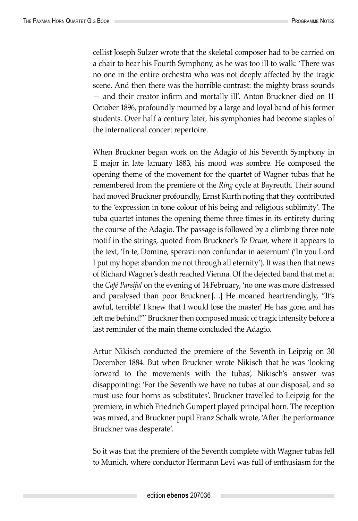cellist Joseph Sulzer wrote that the skeletal composer had to be carried on a chair to hear his Fourth Symphony, as he was too ill to walk: 'There was no one in the entire orchestra who was not deeply affected by the tragic scene. And then there was the horrible contrast: the mighty brass sounds — and their creator infirm and mortally ill'. Anton Bruckner died on 11 October 1896, profoundly mourned by a large and loyal band of his former students. Over half a century later, his symphonies had become staples of the international concert repertoire.

When Bruckner began work on the Adagio of his Seventh Symphony in E major in late January 1883, his mood was sombre. He composed the opening theme of the movement for the quartet of Wagner tubas that he remembered from the premiere of the *Ring* cycle at Bayreuth. Their sound had moved Bruckner profoundly, Ernst Kurth noting that they contributed to the 'expression in tone colour of his being and religious sublimity'. The tuba quartet intones the opening theme three times in its entirety during the course of the Adagio. The passage is followed by a climbing three note motif in the strings, quoted from Bruckner's *Te Deum*, where it appears to the text, 'In te, Domine, speravi: non confundar in aeternum' ('In you Lord I put my hope: abandon me not through all eternity'). It was then that news of Richard Wagner's death reached Vienna. Of the dejected band that met at the *Café Parsifal* on the evening of 14 February, 'no one was more distressed and paralysed than poor Bruckner.[…] He moaned heartrendingly, "It's awful, terrible! I knew that I would lose the master! He has gone, and has left me behind!"' Bruckner then composed music of tragic intensity before a last reminder of the main theme concluded the Adagio.

Artur Nikisch conducted the premiere of the Seventh in Leipzig on 30 December 1884. But when Bruckner wrote Nikisch that he was 'looking forward to the movements with the tubas', Nikisch's answer was disappointing: 'For the Seventh we have no tubas at our disposal, and so must use four horns as substitutes'. Bruckner travelled to Leipzig for the premiere, in which Friedrich Gumpert played principal horn. The reception was mixed, and Bruckner pupil Franz Schalk wrote, 'After the performance Bruckner was desperate'.

So it was that the premiere of the Seventh complete with Wagner tubas fell to Munich, where conductor Hermann Levi was full of enthusiasm for the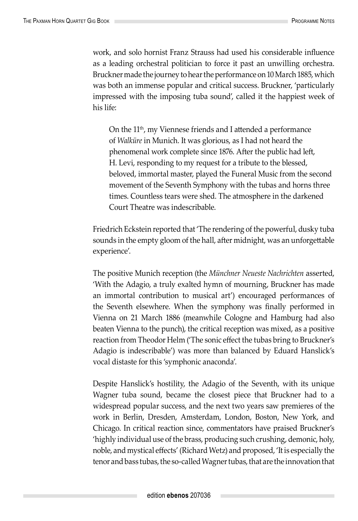work, and solo hornist Franz Strauss had used his considerable influence as a leading orchestral politician to force it past an unwilling orchestra. Bruckner made the journey to hear the performance on 10 March 1885, which was both an immense popular and critical success. Bruckner, 'particularly impressed with the imposing tuba sound', called it the happiest week of his life:

On the 11<sup>th</sup>, my Viennese friends and I attended a performance of *Walküre* in Munich. It was glorious, as I had not heard the phenomenal work complete since 1876. After the public had left, H. Levi, responding to my request for a tribute to the blessed, beloved, immortal master, played the Funeral Music from the second movement of the Seventh Symphony with the tubas and horns three times. Countless tears were shed. The atmosphere in the darkened Court Theatre was indescribable.

Friedrich Eckstein reported that 'The rendering of the powerful, dusky tuba sounds in the empty gloom of the hall, after midnight, was an unforgettable experience'.

The positive Munich reception (the *Münchner Neueste Nachrichten* asserted, 'With the Adagio, a truly exalted hymn of mourning, Bruckner has made an immortal contribution to musical art') encouraged performances of the Seventh elsewhere. When the symphony was finally performed in Vienna on 21 March 1886 (meanwhile Cologne and Hamburg had also beaten Vienna to the punch), the critical reception was mixed, as a positive reaction from Theodor Helm ('The sonic effect the tubas bring to Bruckner's Adagio is indescribable') was more than balanced by Eduard Hanslick's vocal distaste for this 'symphonic anaconda'.

Despite Hanslick's hostility, the Adagio of the Seventh, with its unique Wagner tuba sound, became the closest piece that Bruckner had to a widespread popular success, and the next two years saw premieres of the work in Berlin, Dresden, Amsterdam, London, Boston, New York, and Chicago. In critical reaction since, commentators have praised Bruckner's 'highly individual use of the brass, producing such crushing, demonic, holy, noble, and mystical effects' (Richard Wetz) and proposed, 'It is especially the tenor and bass tubas, the so-called Wagner tubas, that are the innovation that